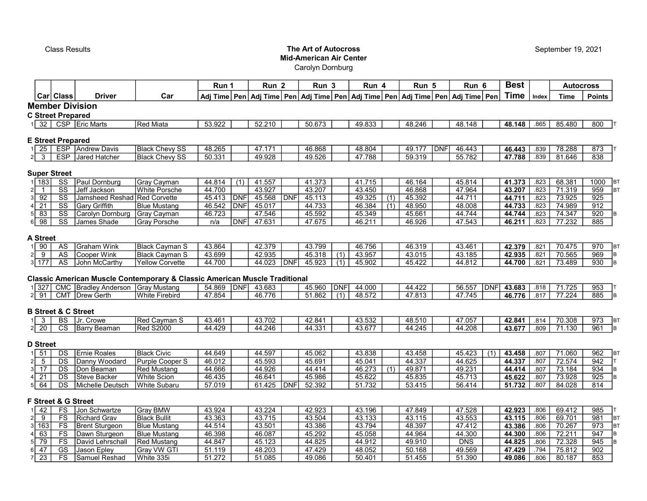# **Class Results** Class Actual Class Results **The Art of Autocross** Mid-American Air Center

Carolyn Dornburg

|                                                           |                                                  | Driver                                               | Car                                                                                   | Run 1            |                          | Run <sub>2</sub> |            | Run <sub>3</sub> |     | Run 4            |            | Run 5            |             | Run 6                                                                                               |     | <b>Best</b>      |              | <b>Autocross</b> |                                      |
|-----------------------------------------------------------|--------------------------------------------------|------------------------------------------------------|---------------------------------------------------------------------------------------|------------------|--------------------------|------------------|------------|------------------|-----|------------------|------------|------------------|-------------|-----------------------------------------------------------------------------------------------------|-----|------------------|--------------|------------------|--------------------------------------|
|                                                           | Car  Class                                       |                                                      |                                                                                       |                  |                          |                  |            |                  |     |                  |            |                  |             | Adj Time   Pen   Adj Time   Pen   Adj Time   Pen   Adj Time   Pen   Adj Time   Pen   Adj Time   Pen |     | <b>Time</b>      | Index        | <b>Time</b>      | <b>Points</b>                        |
|                                                           |                                                  | <b>Member Division</b>                               |                                                                                       |                  |                          |                  |            |                  |     |                  |            |                  |             |                                                                                                     |     |                  |              |                  |                                      |
|                                                           | <b>C Street Prepared</b>                         |                                                      |                                                                                       |                  |                          |                  |            |                  |     |                  |            |                  |             |                                                                                                     |     |                  |              |                  |                                      |
|                                                           |                                                  | 1 32   CSP   Eric Marts                              | Red Miata                                                                             | 53.922           |                          | 52.210           |            | 50.673           |     | 49.833           |            | 48.246           |             | 48.148                                                                                              |     | 48.148           | .865         | 85.480           | $800$ T                              |
|                                                           |                                                  |                                                      |                                                                                       |                  |                          |                  |            |                  |     |                  |            |                  |             |                                                                                                     |     |                  |              |                  |                                      |
|                                                           | <b>E Street Prepared</b>                         |                                                      |                                                                                       |                  |                          |                  |            |                  |     |                  |            |                  |             |                                                                                                     |     |                  |              |                  |                                      |
| 25                                                        |                                                  | <b>ESP</b> Andrew Davis                              | <b>Black Chevy SS</b>                                                                 | 48.265           |                          | 47.171           |            | 46.868           |     | 48.804           |            | 49.177           | <b>IDNF</b> | 46.443                                                                                              |     | 46.443           | .839         | 78.288           | 873                                  |
| 3<br>$\vert$ 2                                            | <b>ESP</b>                                       | Jared Hatcher                                        | <b>Black Chevy SS</b>                                                                 | 50.331           |                          | 49.928           |            | 49.526           |     | 47.788           |            | 59.319           |             | 55.782                                                                                              |     | 47.788           | .839         | 81.646           | 838                                  |
|                                                           |                                                  |                                                      |                                                                                       |                  |                          |                  |            |                  |     |                  |            |                  |             |                                                                                                     |     |                  |              |                  |                                      |
|                                                           | <b>Super Street</b>                              |                                                      |                                                                                       |                  |                          |                  |            |                  |     |                  |            |                  |             |                                                                                                     |     |                  |              |                  |                                      |
| 183<br>1 I                                                | SS                                               | <b>Paul Dornburg</b>                                 | <b>Gray Cayman</b>                                                                    | 44.814           | (1)                      | 41.557           |            | 41.373           |     | 41.715           |            | 46.164           |             | 45.814                                                                                              |     | 41.373           | .823         | 68.381           | 1000<br>BT                           |
| $\overline{2}$<br>$\mathbf{1}$                            | $\overline{\text{ss}}$                           | Jeff Jackson                                         | <b>White Porsche</b>                                                                  | 44.700           |                          | 43.927           |            | 43.207           |     | 43.450           |            | 46.868           |             | 47.964                                                                                              |     | 43.207           | .823         | 71.319           | $\overline{959}$<br><b>BT</b>        |
| $\overline{92}$<br>3<br>$\overline{21}$<br>$\overline{4}$ | $\overline{\text{ss}}$<br>$\overline{\text{ss}}$ | Jamsheed Reshad Red Corvette<br><b>Gary Griffith</b> |                                                                                       | 45.413<br>46.542 | <b>DNF</b><br><b>DNF</b> | 45.568<br>45.017 | DNF        | 45.113<br>44.733 |     | 49.325<br>46.384 | (1)<br>(1) | 45.392<br>48.950 |             | 44.711<br>48.008                                                                                    |     | 44.711<br>44.733 | .823<br>.823 | 73.925<br>74.989 | $\overline{925}$<br>$\overline{912}$ |
| 83<br>$\sqrt{5}$                                          | $\overline{\text{ss}}$                           | Carolyn Dornburg                                     | <b>Blue Mustang</b><br>Gray Cayman                                                    | 46.723           |                          | 47.546           |            | 45.592           |     | 45.349           |            | 45.661           |             | 44.744                                                                                              |     | 44.744           | .823         | 74.347           | 920<br>lв                            |
| 98<br>6                                                   | $\overline{\text{ss}}$                           | James Shade                                          | <b>Gray Porsche</b>                                                                   | n/a              | <b>DNF</b>               | 47.631           |            | 47.675           |     | 46.211           |            | 46.926           |             | 47.543                                                                                              |     | 46.211           | .823         | 77.232           | 885                                  |
|                                                           |                                                  |                                                      |                                                                                       |                  |                          |                  |            |                  |     |                  |            |                  |             |                                                                                                     |     |                  |              |                  |                                      |
| <b>A Street</b>                                           |                                                  |                                                      |                                                                                       |                  |                          |                  |            |                  |     |                  |            |                  |             |                                                                                                     |     |                  |              |                  |                                      |
| 90                                                        | <b>AS</b>                                        | <b>Graham Wink</b>                                   | <b>Black Cayman S</b>                                                                 | 43.864           |                          | 42.379           |            | 43.799           |     | 46.756           |            | 46.319           |             | 43.461                                                                                              |     | 42.379           | .821         | 70.475           | $\overline{970}$<br><b>BT</b>        |
| $\overline{9}$<br>$\vert$ 2                               | $\overline{AS}$                                  | Cooper Wink                                          | Black Cayman S                                                                        | 43.699           |                          | 42.935           |            | 45.318           | (1) | 43.957           |            | 43.015           |             | 43.185                                                                                              |     | 42.935           | .821         | 70.565           | 969<br>B                             |
| $3\overline{177}$                                         | <b>AS</b>                                        | John McCarthy                                        | <b>Yellow Corvette</b>                                                                | 44.700           |                          | 44.023           | <b>DNF</b> | 45.923           | (1) | 45.902           |            | 45.422           |             | 44.812                                                                                              |     | 44.700           | .821         | 73.489           | 930<br>B                             |
|                                                           |                                                  |                                                      |                                                                                       |                  |                          |                  |            |                  |     |                  |            |                  |             |                                                                                                     |     |                  |              |                  |                                      |
|                                                           |                                                  |                                                      | <b>Classic American Muscle Contemporary &amp; Classic American Muscle Traditional</b> |                  |                          |                  |            |                  |     |                  |            |                  |             |                                                                                                     |     |                  |              |                  |                                      |
| 1 327                                                     |                                                  | CMC Bradley Anderson Gray Mustang                    |                                                                                       | 54.869           | DNF                      | 43.683           |            | 45.960           | DNF | 44.000           |            | 44.422           |             | 56.557                                                                                              | DNF | 43.683           | .818         | 71.725           | 953                                  |
| 91<br>2                                                   |                                                  | CMT Drew Gerth                                       | <b>White Firebird</b>                                                                 | 47.854           |                          | 46.776           |            | 51.862           | (1) | 48.572           |            | 47.813           |             | 47.745                                                                                              |     | 46.776           | .817         | 77.224           | 885                                  |
|                                                           |                                                  |                                                      |                                                                                       |                  |                          |                  |            |                  |     |                  |            |                  |             |                                                                                                     |     |                  |              |                  |                                      |
|                                                           | <b>B Street &amp; C Street</b>                   |                                                      |                                                                                       |                  |                          |                  |            |                  |     |                  |            |                  |             |                                                                                                     |     |                  |              |                  |                                      |
| 3                                                         | BS                                               | Jr. Crowe                                            | Red Cayman S                                                                          | 43.461           |                          | 43.702           |            | 42.841           |     | 43.532           |            | 48.510           |             | 47.057                                                                                              |     | 42.841           | .814         | 70.308           | 973<br><b>BT</b>                     |
| $\overline{20}$<br>2                                      | $\overline{\text{cs}}$                           | <b>Barry Beaman</b>                                  | <b>Red S2000</b>                                                                      | 44.429           |                          | 44.246           |            | 44.331           |     | 43.677           |            | 44.245           |             | 44.208                                                                                              |     | 43.677           | .809         | 71.130           | $\overline{961}$<br>B                |
|                                                           |                                                  |                                                      |                                                                                       |                  |                          |                  |            |                  |     |                  |            |                  |             |                                                                                                     |     |                  |              |                  |                                      |
| <b>D</b> Street                                           |                                                  |                                                      |                                                                                       |                  |                          |                  |            |                  |     |                  |            |                  |             |                                                                                                     |     |                  |              |                  |                                      |
| 51<br>$\mathbf{1}$                                        | DS                                               | <b>Ernie Roales</b>                                  | <b>Black Civic</b>                                                                    | 44.649           |                          | 44.597           |            | 45.062           |     | 43.838           |            | 43.458           |             | 45.423                                                                                              | (1) | 43.458           | .807         | 71.060           | 962<br>BT                            |
| $\overline{5}$<br>$\sqrt{2}$                              | DS                                               | Danny Woodard                                        | Purple Cooper S                                                                       | 46.012           |                          | 45.593           |            | 45.691           |     | 45.041           |            | 44.337           |             | 44.625                                                                                              |     | 44.337           | .807         | 72.574           | 942                                  |
| $\overline{17}$<br>$\overline{3}$                         | DS                                               | Don Beaman                                           | <b>Red Mustang</b>                                                                    | 44.666           |                          | 44.926           |            | 44.414           |     | 46.273           | (1)        | 49.871           |             | 49.231                                                                                              |     | 44.414           | .807         | 73.184           | 934<br>B                             |
| $\overline{21}$<br>$\overline{4}$<br>$\overline{64}$      | DS                                               | <b>Steve Backer</b>                                  | <b>White Scion</b>                                                                    | 46.435           |                          | 46.641           |            | 45.986           |     | 45.622           |            | 45.835           |             | 45.713                                                                                              |     | 45.622           | .807         | 73.928           | $\overline{925}$<br>B                |
| 5 <sup>5</sup>                                            | DS                                               | Michelle Deutsch                                     | White Subaru                                                                          | 57.019           |                          | 61.425           | <b>DNF</b> | 52.392           |     | 51.732           |            | 53.415           |             | 56.414                                                                                              |     | 51.732           | .807         | 84.028           | 814                                  |
|                                                           | F Street & G Street                              |                                                      |                                                                                       |                  |                          |                  |            |                  |     |                  |            |                  |             |                                                                                                     |     |                  |              |                  |                                      |
| $\mathbf{1}$                                              | FS                                               |                                                      | Gray BMW                                                                              |                  |                          |                  |            |                  |     |                  |            |                  |             | 47.528                                                                                              |     |                  | .806         | 69.412           | 985                                  |
| 42<br>$\overline{9}$<br>$\overline{2}$                    | FS                                               | Jon Schwartze<br>Richard Grav                        | <b>Black Bullit</b>                                                                   | 43.924<br>43.363 |                          | 43.224<br>43.715 |            | 42.923<br>43.504 |     | 43.196<br>43.133 |            | 47.849<br>43.115 |             | 43.553                                                                                              |     | 42.923<br>43.115 | .806         | 69.701           | 981<br><b>BT</b>                     |
| 163<br>3 <sup>1</sup>                                     | FS                                               | <b>Brent Sturgeon</b>                                | <b>Blue Mustang</b>                                                                   | 44.514           |                          | 43.501           |            | 43.386           |     | 43.794           |            | 48.397           |             | 47.412                                                                                              |     | 43.386           | .806         | 70.267           | 973<br><b>BT</b>                     |
| $\overline{63}$<br>$\overline{4}$                         | FS                                               | Dawn Sturgeon                                        | Blue Mustang                                                                          | 46.398           |                          | 46.087           |            | 45.292           |     | 45.058           |            | 44.964           |             | 44.300                                                                                              |     | 44.300           | .806         | 72.211           | 947<br>B                             |
| $\overline{79}$<br>$\sqrt{5}$                             | $\overline{FS}$                                  | David Lehrschall                                     | <b>Red Mustang</b>                                                                    | 44.847           |                          | 45.123           |            | 44.825           |     | 44.912           |            | 49.910           |             | <b>DNS</b>                                                                                          |     | 44.825           | .806         | 72.328           | 945<br>B                             |
| $\overline{47}$<br>6                                      | $\overline{\text{GS}}$                           | Jason Epley                                          | Gray VW GTI                                                                           | 51.119           |                          | 48.203           |            | 47.429           |     | 48.052           |            | 50.168           |             | 49.569                                                                                              |     | 47.429           | .794         | 75.812           | $\overline{902}$                     |
|                                                           |                                                  |                                                      |                                                                                       |                  |                          |                  |            |                  |     |                  |            |                  |             |                                                                                                     |     |                  |              |                  |                                      |